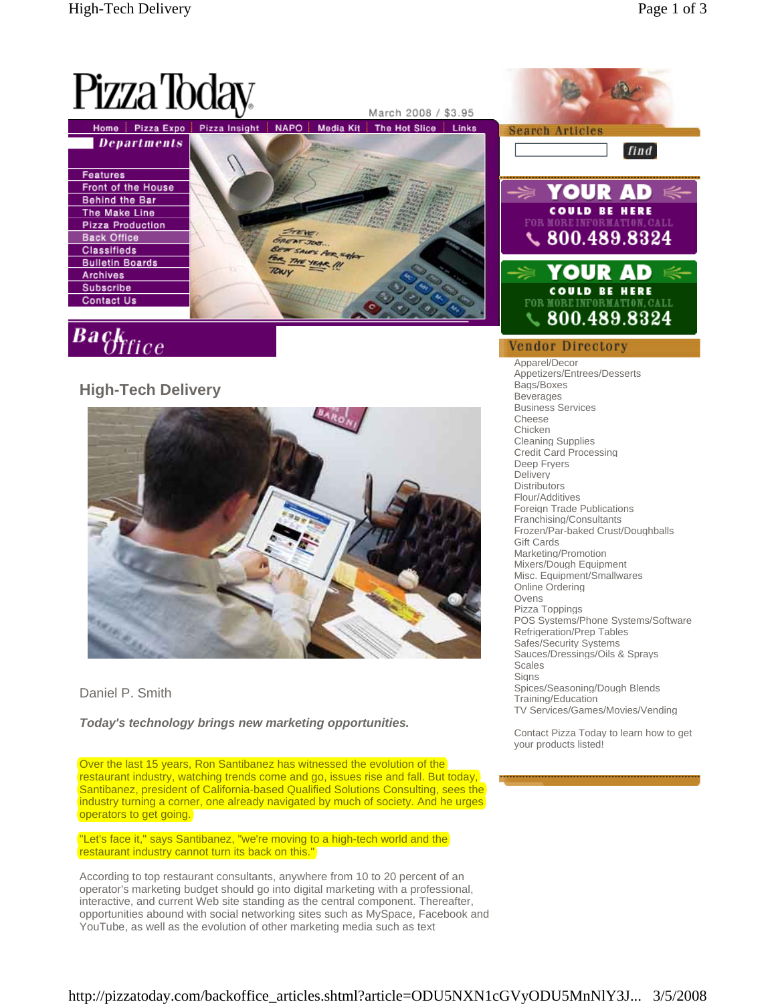

## Daniel P. Smith

*Today's technology brings new marketing opportunities.* 

Over the last 15 years, Ron Santibanez has witnessed the evolution of the restaurant industry, watching trends come and go, issues rise and fall. But today, Santibanez, president of California-based Qualified Solutions Consulting, sees the industry turning a corner, one already navigated by much of society. And he urges operators to get going.

"Let's face it," says Santibanez, "we're moving to a high-tech world and the restaurant industry cannot turn its back on this."

According to top restaurant consultants, anywhere from 10 to 20 percent of an operator's marketing budget should go into digital marketing with a professional, interactive, and current Web site standing as the central component. Thereafter, opportunities abound with social networking sites such as MySpace, Facebook and YouTube, as well as the evolution of other marketing media such as text



Foreign Trade Publications Franchising/Consultants Frozen/Par-baked Crust/Doughballs Gift Cards Marketing/Promotion Mixers/Dough Equipment Misc. Equipment/Smallwares Online Ordering Ovens Pizza Toppings POS Systems/Phone Systems/Software Refrigeration/Prep Tables Safes/Security Systems Sauces/Dressings/Oils & Sprays Scales **Signs** Spices/Seasoning/Dough Blends

Training/Education TV Services/Games/Movies/Vending

Contact Pizza Today to learn how to get your products listed!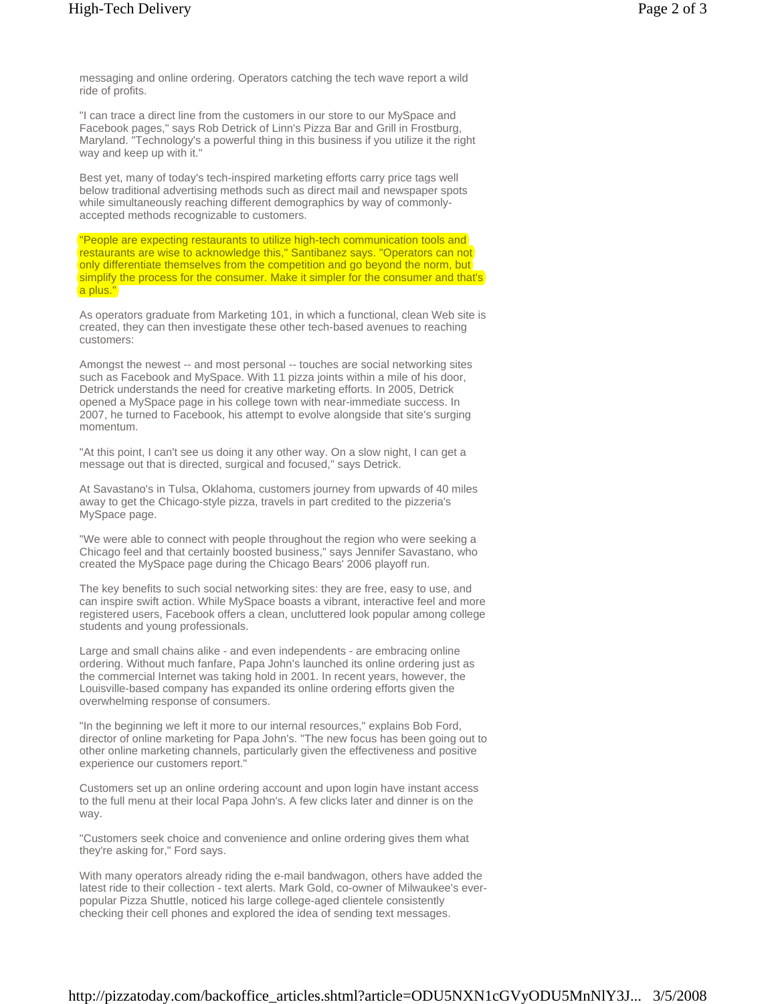messaging and online ordering. Operators catching the tech wave report a wild ride of profits.

"I can trace a direct line from the customers in our store to our MySpace and Facebook pages," says Rob Detrick of Linn's Pizza Bar and Grill in Frostburg, Maryland. "Technology's a powerful thing in this business if you utilize it the right way and keep up with it."

Best yet, many of today's tech-inspired marketing efforts carry price tags well below traditional advertising methods such as direct mail and newspaper spots while simultaneously reaching different demographics by way of commonlyaccepted methods recognizable to customers.

"People are expecting restaurants to utilize high-tech communication tools and restaurants are wise to acknowledge this," Santibanez says. "Operators can not only differentiate themselves from the competition and go beyond the norm, but simplify the process for the consumer. Make it simpler for the consumer and that's a plus."

As operators graduate from Marketing 101, in which a functional, clean Web site is created, they can then investigate these other tech-based avenues to reaching customers:

Amongst the newest -- and most personal -- touches are social networking sites such as Facebook and MySpace. With 11 pizza joints within a mile of his door, Detrick understands the need for creative marketing efforts. In 2005, Detrick opened a MySpace page in his college town with near-immediate success. In 2007, he turned to Facebook, his attempt to evolve alongside that site's surging momentum.

"At this point, I can't see us doing it any other way. On a slow night, I can get a message out that is directed, surgical and focused," says Detrick.

At Savastano's in Tulsa, Oklahoma, customers journey from upwards of 40 miles away to get the Chicago-style pizza, travels in part credited to the pizzeria's MySpace page.

"We were able to connect with people throughout the region who were seeking a Chicago feel and that certainly boosted business," says Jennifer Savastano, who created the MySpace page during the Chicago Bears' 2006 playoff run.

The key benefits to such social networking sites: they are free, easy to use, and can inspire swift action. While MySpace boasts a vibrant, interactive feel and more registered users, Facebook offers a clean, uncluttered look popular among college students and young professionals.

Large and small chains alike - and even independents - are embracing online ordering. Without much fanfare, Papa John's launched its online ordering just as the commercial Internet was taking hold in 2001. In recent years, however, the Louisville-based company has expanded its online ordering efforts given the overwhelming response of consumers.

"In the beginning we left it more to our internal resources," explains Bob Ford, director of online marketing for Papa John's. "The new focus has been going out to other online marketing channels, particularly given the effectiveness and positive experience our customers report."

Customers set up an online ordering account and upon login have instant access to the full menu at their local Papa John's. A few clicks later and dinner is on the way.

"Customers seek choice and convenience and online ordering gives them what they're asking for," Ford says.

With many operators already riding the e-mail bandwagon, others have added the latest ride to their collection - text alerts. Mark Gold, co-owner of Milwaukee's everpopular Pizza Shuttle, noticed his large college-aged clientele consistently checking their cell phones and explored the idea of sending text messages.